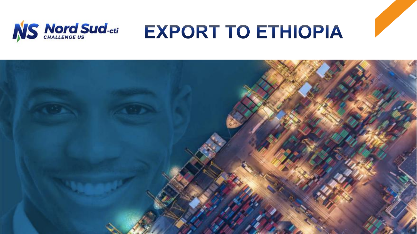

# **EXPORT TO ETHIOPIA**

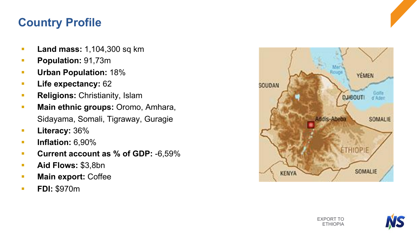### **Country Profile**

- **Land mass: 1,104,300 sq km**
- § **Population:** 91,73m
- § **Urban Population:** 18%
- § **Life expectancy:** 62
- **Religions: Christianity, Islam**
- § **Main ethnic groups:** Oromo, Amhara, Sidayama, Somali, Tigraway, Guragie
- § **Literacy:** 36%
- § **Inflation:** 6,90%
- § **Current account as % of GDP:** -6,59%
- § **Aid Flows:** \$3,8bn
- **Main export: Coffee**
- § **FDI:** \$970m



EXPORT TO ETHIOPIA

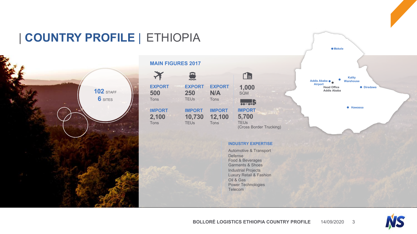## | **COUNTRY PROFILE** | ETHIOPIA



#### **MAIN FIGURES 2017**



#### **INDUSTRY EXPERTISE**

Automotive & Transport Defense Food & Beverages Garments & Shoes Industrial Projects Luxury Retail & Fashion Oil & Gas Power Technologies Telecom



**Mekele**

**Hawassa**

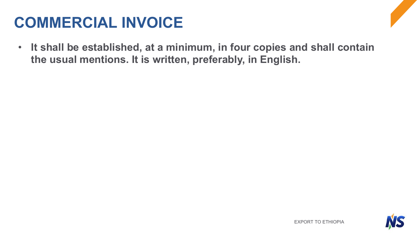# **COMMERCIAL INVOICE**

• **It shall be established, at a minimum, in four copies and shall contain the usual mentions. It is written, preferably, in English.** 

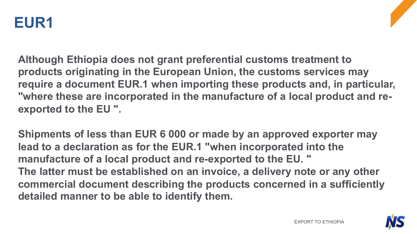

**Although Ethiopia does not grant preferential customs treatment to products originating in the European Union, the customs services may require a document EUR.1 when importing these products and, in particular, "where these are incorporated in the manufacture of a local product and reexported to the EU ".**

**Shipments of less than EUR 6 000 or made by an approved exporter may lead to a declaration as for the EUR.1 "when incorporated into the manufacture of a local product and re-exported to the EU. " The latter must be established on an invoice, a delivery note or any other commercial document describing the products concerned in a sufficiently detailed manner to be able to identify them.**

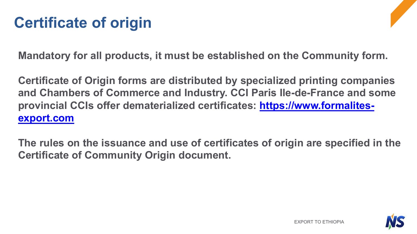# **Certificate of origin**

**Mandatory for all products, it must be established on the Community form.**

**Certificate of Origin forms are distributed by specialized printing companies and Chambers of Commerce and Industry. CCI Paris Ile-de-France and some [provincial CCIs offer dematerialized certificates: https://www.formalites](https://www.formalites-export.com/)export.com**

**The rules on the issuance and use of certificates of origin are specified in the Certificate of Community Origin document.**

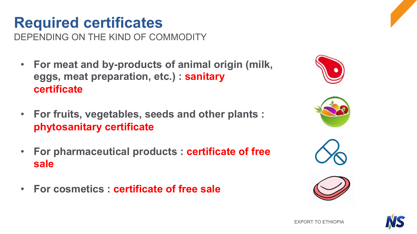# **Required certificates**

DEPENDING ON THE KIND OF COMMODITY

- **For meat and by-products of animal origin (milk, eggs, meat preparation, etc.) : sanitary certificate**
- **For fruits, vegetables, seeds and other plants : phytosanitary certificate**
- **For pharmaceutical products : certificate of free sale**
- **For cosmetics : certificate of free sale**









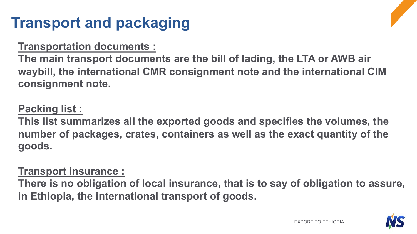# **Transport and packaging**

#### **Transportation documents :**

**The main transport documents are the bill of lading, the LTA or AWB air waybill, the international CMR consignment note and the international CIM consignment note.**

### **Packing list :**

**This list summarizes all the exported goods and specifies the volumes, the number of packages, crates, containers as well as the exact quantity of the goods.** 

#### **Transport insurance :**

**There is no obligation of local insurance, that is to say of obligation to assure, in Ethiopia, the international transport of goods.** 

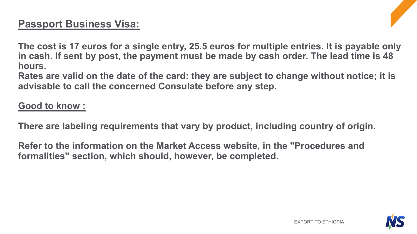#### **Passport Business Visa:**

**The cost is 17 euros for a single entry, 25.5 euros for multiple entries. It is payable only in cash. If sent by post, the payment must be made by cash order. The lead time is 48 hours.**

**Rates are valid on the date of the card: they are subject to change without notice; it is advisable to call the concerned Consulate before any step.**

#### **Good to know :**

**There are labeling requirements that vary by product, including country of origin.**

**Refer to the information on the Market Access website, in the "Procedures and formalities" section, which should, however, be completed.**